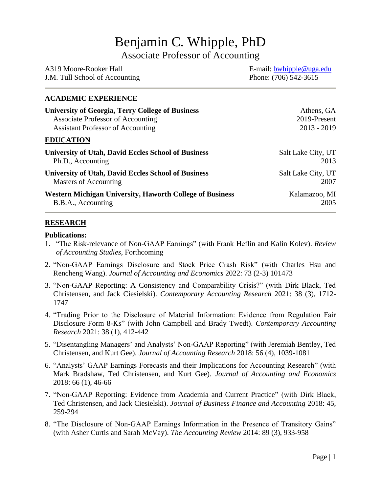# Benjamin C. Whipple, PhD

Associate Professor of Accounting

| A319 Moore-Rooker Hall         | E-mail: $bwhipple@uga.edu$ |
|--------------------------------|----------------------------|
| J.M. Tull School of Accounting | Phone: (706) 542-3615      |

# **ACADEMIC EXPERIENCE**

| <b>University of Georgia, Terry College of Business</b>         | Athens, GA         |
|-----------------------------------------------------------------|--------------------|
| Associate Professor of Accounting                               | 2019-Present       |
| <b>Assistant Professor of Accounting</b>                        | $2013 - 2019$      |
| <b>EDUCATION</b>                                                |                    |
| <b>University of Utah, David Eccles School of Business</b>      | Salt Lake City, UT |
| Ph.D., Accounting                                               | 2013               |
| <b>University of Utah, David Eccles School of Business</b>      | Salt Lake City, UT |
| Masters of Accounting                                           | 2007               |
| <b>Western Michigan University, Haworth College of Business</b> | Kalamazoo, MI      |
| B.B.A., Accounting                                              | 2005               |

#### **RESEARCH**

#### **Publications:**

- 1. "The Risk-relevance of Non-GAAP Earnings" (with Frank Heflin and Kalin Kolev). *Review of Accounting Studies*, Forthcoming
- 2. "Non-GAAP Earnings Disclosure and Stock Price Crash Risk" (with Charles Hsu and Rencheng Wang). *Journal of Accounting and Economics* 2022: 73 (2-3) 101473
- 3. "Non-GAAP Reporting: A Consistency and Comparability Crisis?" (with Dirk Black, Ted Christensen, and Jack Ciesielski). *Contemporary Accounting Research* 2021: 38 (3), 1712- 1747
- 4. "Trading Prior to the Disclosure of Material Information: Evidence from Regulation Fair Disclosure Form 8-Ks" (with John Campbell and Brady Twedt). *Contemporary Accounting Research* 2021: 38 (1), 412-442
- 5. "Disentangling Managers' and Analysts' Non-GAAP Reporting" (with Jeremiah Bentley, Ted Christensen, and Kurt Gee). *Journal of Accounting Research* 2018: 56 (4), 1039-1081
- 6. "Analysts' GAAP Earnings Forecasts and their Implications for Accounting Research" (with Mark Bradshaw, Ted Christensen, and Kurt Gee). *Journal of Accounting and Economics* 2018: 66 (1), 46-66
- 7. "Non-GAAP Reporting: Evidence from Academia and Current Practice" (with Dirk Black, Ted Christensen, and Jack Ciesielski). *Journal of Business Finance and Accounting* 2018: 45, 259-294
- 8. "The Disclosure of Non-GAAP Earnings Information in the Presence of Transitory Gains" (with Asher Curtis and Sarah McVay). *The Accounting Review* 2014: 89 (3), 933-958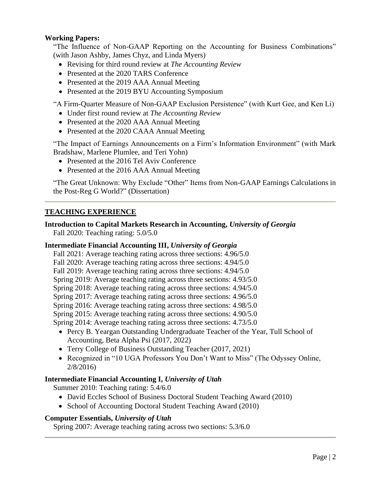# **Working Papers:**

"The Influence of Non-GAAP Reporting on the Accounting for Business Combinations" (with Jason Ashby, James Chyz, and Linda Myers)

- Revising for third round review at *The Accounting Review*
- Presented at the 2020 TARS Conference
- Presented at the 2019 AAA Annual Meeting
- Presented at the 2019 BYU Accounting Symposium

"A Firm-Quarter Measure of Non-GAAP Exclusion Persistence" (with Kurt Gee, and Ken Li)

- Under first round review at *The Accounting Review*
- Presented at the 2020 AAA Annual Meeting
- Presented at the 2020 CAAA Annual Meeting

"The Impact of Earnings Announcements on a Firm's Information Environment" (with Mark Bradshaw, Marlene Plumlee, and Teri Yohn)

- Presented at the 2016 Tel Aviv Conference
- Presented at the 2016 AAA Annual Meeting

"The Great Unknown: Why Exclude "Other" Items from Non-GAAP Earnings Calculations in the Post-Reg G World?" (Dissertation)

## **TEACHING EXPERIENCE**

**Introduction to Capital Markets Research in Accounting,** *University of Georgia* Fall 2020: Teaching rating: 5.0/5.0

#### **Intermediate Financial Accounting III,** *University of Georgia*

Fall 2021: Average teaching rating across three sections: 4.96/5.0

- Fall 2020: Average teaching rating across three sections: 4.94/5.0
- Fall 2019: Average teaching rating across three sections: 4.94/5.0
- Spring 2019: Average teaching rating across three sections: 4.93/5.0
- Spring 2018: Average teaching rating across three sections: 4.94/5.0
- Spring 2017: Average teaching rating across three sections: 4.96/5.0
- Spring 2016: Average teaching rating across three sections: 4.98/5.0

Spring 2015: Average teaching rating across three sections: 4.90/5.0

Spring 2014: Average teaching rating across three sections: 4.73/5.0

- Percy B. Yeargan Outstanding Undergraduate Teacher of the Year, Tull School of Accounting, Beta Alpha Psi (2017, 2022)
- Terry College of Business Outstanding Teacher (2017, 2021)
- Recognized in "10 UGA Professors You Don't Want to Miss" (The Odyssey Online, 2/8/2016)

#### **Intermediate Financial Accounting I,** *University of Utah*

Summer 2010: Teaching rating: 5.4/6.0

- David Eccles School of Business Doctoral Student Teaching Award (2010)
- School of Accounting Doctoral Student Teaching Award (2010)

#### **Computer Essentials,** *University of Utah*

Spring 2007: Average teaching rating across two sections: 5.3/6.0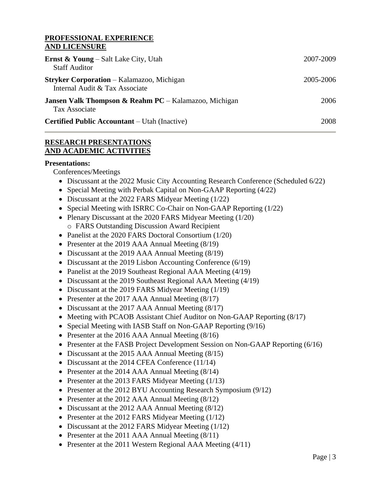#### **PROFESSIONAL EXPERIENCE AND LICENSURE**

| <b>Ernst &amp; Young</b> – Salt Lake City, Utah<br><b>Staff Auditor</b>                  | 2007-2009 |
|------------------------------------------------------------------------------------------|-----------|
| <b>Stryker Corporation</b> – Kalamazoo, Michigan<br>Internal Audit & Tax Associate       | 2005-2006 |
| <b>Jansen Valk Thompson &amp; Reahm PC</b> – Kalamazoo, Michigan<br><b>Tax Associate</b> | 2006      |
| <b>Certified Public Accountant</b> – Utah (Inactive)                                     | 2008      |

# **RESEARCH PRESENTATIONS AND ACADEMIC ACTIVITIES**

#### **Presentations:**

Conferences/Meetings

- Discussant at the 2022 Music City Accounting Research Conference (Scheduled 6/22)
- Special Meeting with Perbak Capital on Non-GAAP Reporting (4/22)
- Discussant at the 2022 FARS Midyear Meeting (1/22)
- Special Meeting with ISRRC Co-Chair on Non-GAAP Reporting (1/22)
- Plenary Discussant at the 2020 FARS Midyear Meeting (1/20) o FARS Outstanding Discussion Award Recipient
- Panelist at the 2020 FARS Doctoral Consortium (1/20)
- Presenter at the 2019 AAA Annual Meeting (8/19)
- Discussant at the 2019 AAA Annual Meeting (8/19)
- Discussant at the 2019 Lisbon Accounting Conference (6/19)
- Panelist at the 2019 Southeast Regional AAA Meeting (4/19)
- Discussant at the 2019 Southeast Regional AAA Meeting (4/19)
- Discussant at the 2019 FARS Midyear Meeting (1/19)
- Presenter at the 2017 AAA Annual Meeting  $(8/17)$
- Discussant at the 2017 AAA Annual Meeting (8/17)
- Meeting with PCAOB Assistant Chief Auditor on Non-GAAP Reporting (8/17)
- Special Meeting with IASB Staff on Non-GAAP Reporting (9/16)
- Presenter at the 2016 AAA Annual Meeting (8/16)
- Presenter at the FASB Project Development Session on Non-GAAP Reporting (6/16)
- Discussant at the 2015 AAA Annual Meeting (8/15)
- Discussant at the 2014 CFEA Conference (11/14)
- Presenter at the 2014 AAA Annual Meeting (8/14)
- Presenter at the 2013 FARS Midyear Meeting (1/13)
- Presenter at the 2012 BYU Accounting Research Symposium (9/12)
- Presenter at the 2012 AAA Annual Meeting (8/12)
- Discussant at the 2012 AAA Annual Meeting (8/12)
- Presenter at the 2012 FARS Midyear Meeting (1/12)
- Discussant at the 2012 FARS Midyear Meeting (1/12)
- Presenter at the 2011 AAA Annual Meeting  $(8/11)$
- Presenter at the 2011 Western Regional AAA Meeting (4/11)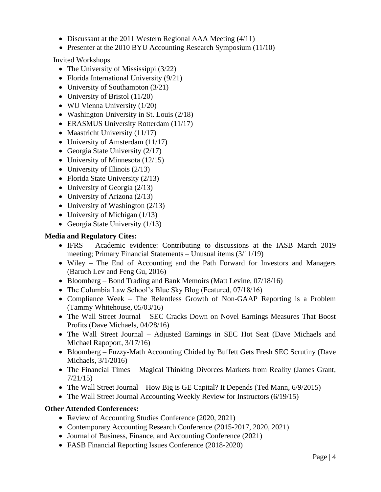- Discussant at the 2011 Western Regional AAA Meeting (4/11)
- Presenter at the 2010 BYU Accounting Research Symposium (11/10)

Invited Workshops

- The University of Mississippi (3/22)
- Florida International University (9/21)
- University of Southampton (3/21)
- University of Bristol (11/20)
- WU Vienna University (1/20)
- Washington University in St. Louis (2/18)
- ERASMUS University Rotterdam (11/17)
- Maastricht University (11/17)
- University of Amsterdam (11/17)
- Georgia State University (2/17)
- University of Minnesota (12/15)
- University of Illinois  $(2/13)$
- Florida State University (2/13)
- University of Georgia (2/13)
- University of Arizona (2/13)
- University of Washington (2/13)
- University of Michigan (1/13)
- Georgia State University (1/13)

# **Media and Regulatory Cites:**

- IFRS Academic evidence: Contributing to discussions at the IASB March 2019 meeting; Primary Financial Statements – Unusual items (3/11/19)
- Wiley The End of Accounting and the Path Forward for Investors and Managers (Baruch Lev and Feng Gu, 2016)
- Bloomberg Bond Trading and Bank Memoirs (Matt Levine, 07/18/16)
- The Columbia Law School's Blue Sky Blog (Featured, 07/18/16)
- Compliance Week The Relentless Growth of Non-GAAP Reporting is a Problem (Tammy Whitehouse, 05/03/16)
- The Wall Street Journal SEC Cracks Down on Novel Earnings Measures That Boost Profits (Dave Michaels, 04/28/16)
- The Wall Street Journal Adjusted Earnings in SEC Hot Seat (Dave Michaels and Michael Rapoport, 3/17/16)
- Bloomberg Fuzzy-Math Accounting Chided by Buffett Gets Fresh SEC Scrutiny (Dave Michaels, 3/1/2016)
- The Financial Times Magical Thinking Divorces Markets from Reality (James Grant, 7/21/15)
- The Wall Street Journal How Big is GE Capital? It Depends (Ted Mann, 6/9/2015)
- The Wall Street Journal Accounting Weekly Review for Instructors (6/19/15)

# **Other Attended Conferences:**

- Review of Accounting Studies Conference (2020, 2021)
- Contemporary Accounting Research Conference (2015-2017, 2020, 2021)
- Journal of Business, Finance, and Accounting Conference (2021)
- FASB Financial Reporting Issues Conference (2018-2020)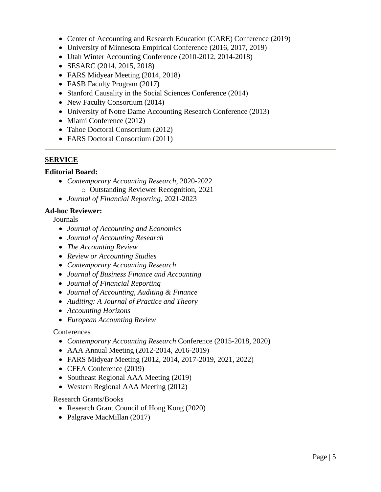- Center of Accounting and Research Education (CARE) Conference (2019)
- University of Minnesota Empirical Conference (2016, 2017, 2019)
- Utah Winter Accounting Conference (2010-2012, 2014-2018)
- SESARC (2014, 2015, 2018)
- FARS Midyear Meeting (2014, 2018)
- FASB Faculty Program (2017)
- Stanford Causality in the Social Sciences Conference (2014)
- New Faculty Consortium (2014)
- University of Notre Dame Accounting Research Conference (2013)
- Miami Conference (2012)
- Tahoe Doctoral Consortium (2012)
- FARS Doctoral Consortium (2011)

## **SERVICE**

## **Editorial Board:**

- *Contemporary Accounting Research*, 2020-2022 o Outstanding Reviewer Recognition, 2021
- *Journal of Financial Reporting*, 2021-2023

## **Ad-hoc Reviewer:**

Journals

- *Journal of Accounting and Economics*
- *Journal of Accounting Research*
- *The Accounting Review*
- *Review or Accounting Studies*
- *Contemporary Accounting Research*
- *Journal of Business Finance and Accounting*
- *Journal of Financial Reporting*
- *Journal of Accounting, Auditing & Finance*
- *Auditing: A Journal of Practice and Theory*
- *Accounting Horizons*
- *European Accounting Review*

# **Conferences**

- *Contemporary Accounting Research* Conference (2015-2018, 2020)
- AAA Annual Meeting (2012-2014, 2016-2019)
- FARS Midyear Meeting (2012, 2014, 2017-2019, 2021, 2022)
- CFEA Conference (2019)
- Southeast Regional AAA Meeting (2019)
- Western Regional AAA Meeting (2012)

Research Grants/Books

- Research Grant Council of Hong Kong (2020)
- Palgrave MacMillan (2017)